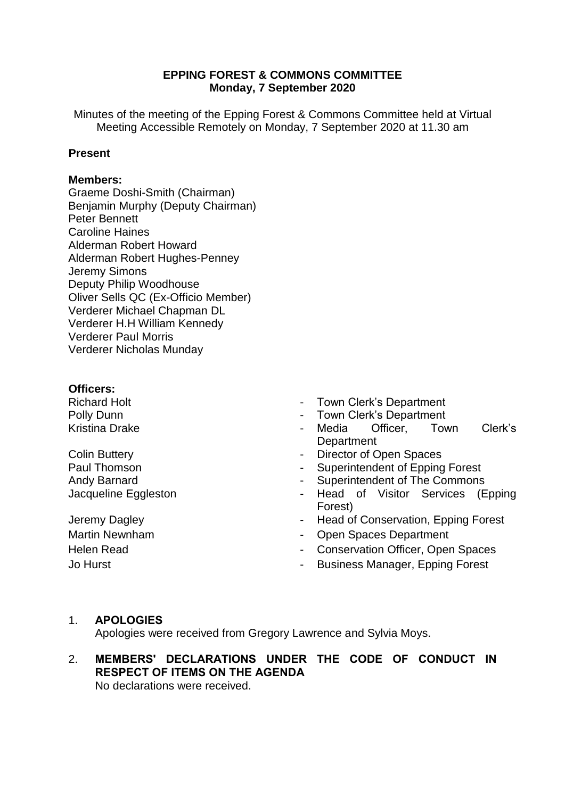# **EPPING FOREST & COMMONS COMMITTEE Monday, 7 September 2020**

Minutes of the meeting of the Epping Forest & Commons Committee held at Virtual Meeting Accessible Remotely on Monday, 7 September 2020 at 11.30 am

### **Present**

### **Members:**

Graeme Doshi-Smith (Chairman) Benjamin Murphy (Deputy Chairman) Peter Bennett Caroline Haines Alderman Robert Howard Alderman Robert Hughes-Penney Jeremy Simons Deputy Philip Woodhouse Oliver Sells QC (Ex-Officio Member) Verderer Michael Chapman DL Verderer H.H William Kennedy Verderer Paul Morris Verderer Nicholas Munday

### **Officers:**

Richard Holt Polly Dunn Kristina Drake

Colin Buttery Paul Thomson Andy Barnard Jacqueline Eggleston

- Town Clerk's Department
- Town Clerk's Department
- Media Officer, Town Clerk's **Department**
- Director of Open Spaces
- Superintendent of Epping Forest
- Superintendent of The Commons
- Head of Visitor Services (Epping Forest)
- Jeremy Dagley **Conservation** Head of Conservation, Epping Forest
- Martin Newnham  **Martin Newnham** Open Spaces Department
- Helen Read  **Conservation Officer, Open Spaces**
- Jo Hurst  **Alternative Community** Business Manager, Epping Forest

### 1. **APOLOGIES**

Apologies were received from Gregory Lawrence and Sylvia Moys.

# 2. **MEMBERS' DECLARATIONS UNDER THE CODE OF CONDUCT IN RESPECT OF ITEMS ON THE AGENDA**

No declarations were received.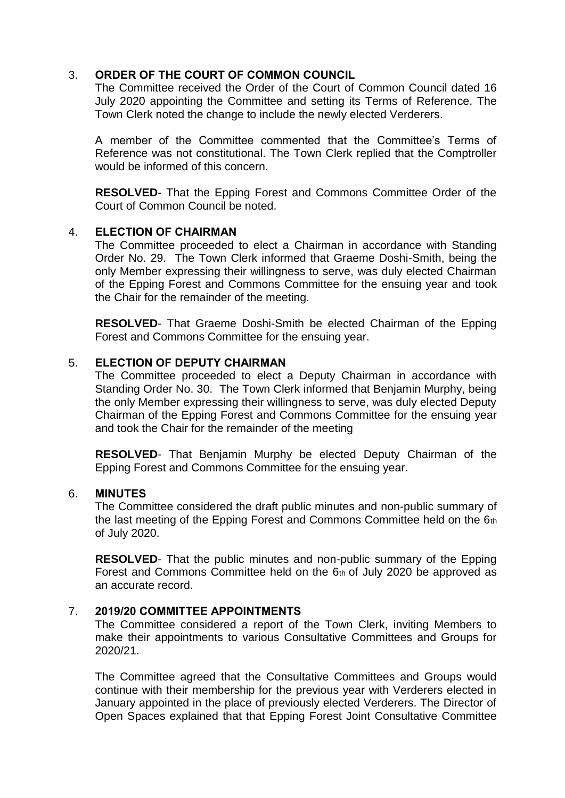# 3. **ORDER OF THE COURT OF COMMON COUNCIL**

The Committee received the Order of the Court of Common Council dated 16 July 2020 appointing the Committee and setting its Terms of Reference. The Town Clerk noted the change to include the newly elected Verderers.

A member of the Committee commented that the Committee's Terms of Reference was not constitutional. The Town Clerk replied that the Comptroller would be informed of this concern.

**RESOLVED**- That the Epping Forest and Commons Committee Order of the Court of Common Council be noted.

# 4. **ELECTION OF CHAIRMAN**

The Committee proceeded to elect a Chairman in accordance with Standing Order No. 29. The Town Clerk informed that Graeme Doshi-Smith, being the only Member expressing their willingness to serve, was duly elected Chairman of the Epping Forest and Commons Committee for the ensuing year and took the Chair for the remainder of the meeting.

**RESOLVED**- That Graeme Doshi-Smith be elected Chairman of the Epping Forest and Commons Committee for the ensuing year.

# 5. **ELECTION OF DEPUTY CHAIRMAN**

The Committee proceeded to elect a Deputy Chairman in accordance with Standing Order No. 30. The Town Clerk informed that Benjamin Murphy, being the only Member expressing their willingness to serve, was duly elected Deputy Chairman of the Epping Forest and Commons Committee for the ensuing year and took the Chair for the remainder of the meeting

**RESOLVED**- That Benjamin Murphy be elected Deputy Chairman of the Epping Forest and Commons Committee for the ensuing year.

### 6. **MINUTES**

The Committee considered the draft public minutes and non-public summary of the last meeting of the Epping Forest and Commons Committee held on the 6th of July 2020.

**RESOLVED**- That the public minutes and non-public summary of the Epping Forest and Commons Committee held on the  $6<sub>th</sub>$  of July 2020 be approved as an accurate record.

### 7. **2019/20 COMMITTEE APPOINTMENTS**

The Committee considered a report of the Town Clerk, inviting Members to make their appointments to various Consultative Committees and Groups for 2020/21.

The Committee agreed that the Consultative Committees and Groups would continue with their membership for the previous year with Verderers elected in January appointed in the place of previously elected Verderers. The Director of Open Spaces explained that that Epping Forest Joint Consultative Committee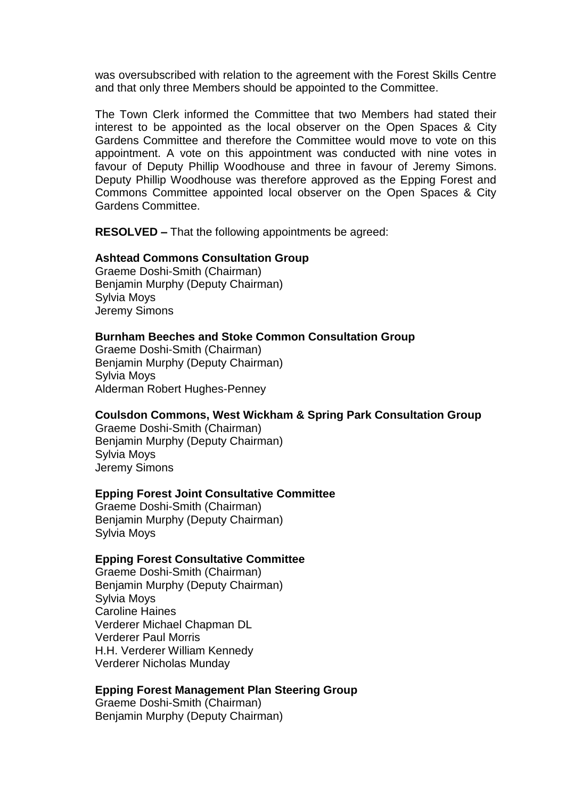was oversubscribed with relation to the agreement with the Forest Skills Centre and that only three Members should be appointed to the Committee.

The Town Clerk informed the Committee that two Members had stated their interest to be appointed as the local observer on the Open Spaces & City Gardens Committee and therefore the Committee would move to vote on this appointment. A vote on this appointment was conducted with nine votes in favour of Deputy Phillip Woodhouse and three in favour of Jeremy Simons. Deputy Phillip Woodhouse was therefore approved as the Epping Forest and Commons Committee appointed local observer on the Open Spaces & City Gardens Committee.

**RESOLVED –** That the following appointments be agreed:

### **Ashtead Commons Consultation Group**

Graeme Doshi-Smith (Chairman) Benjamin Murphy (Deputy Chairman) Sylvia Moys Jeremy Simons

#### **Burnham Beeches and Stoke Common Consultation Group**

Graeme Doshi-Smith (Chairman) Benjamin Murphy (Deputy Chairman) Sylvia Moys Alderman Robert Hughes-Penney

### **Coulsdon Commons, West Wickham & Spring Park Consultation Group**

Graeme Doshi-Smith (Chairman) Benjamin Murphy (Deputy Chairman) Sylvia Moys Jeremy Simons

### **Epping Forest Joint Consultative Committee**

Graeme Doshi-Smith (Chairman) Benjamin Murphy (Deputy Chairman) Sylvia Moys

#### **Epping Forest Consultative Committee**

Graeme Doshi-Smith (Chairman) Benjamin Murphy (Deputy Chairman) Sylvia Moys Caroline Haines Verderer Michael Chapman DL Verderer Paul Morris H.H. Verderer William Kennedy Verderer Nicholas Munday

### **Epping Forest Management Plan Steering Group**

Graeme Doshi-Smith (Chairman) Benjamin Murphy (Deputy Chairman)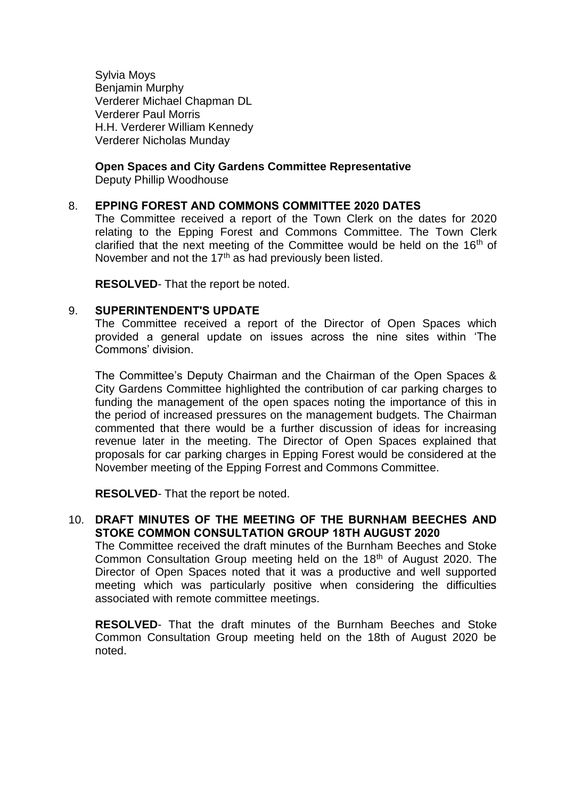Sylvia Moys Benjamin Murphy Verderer Michael Chapman DL Verderer Paul Morris H.H. Verderer William Kennedy Verderer Nicholas Munday

# **Open Spaces and City Gardens Committee Representative**

Deputy Phillip Woodhouse

### 8. **EPPING FOREST AND COMMONS COMMITTEE 2020 DATES**

The Committee received a report of the Town Clerk on the dates for 2020 relating to the Epping Forest and Commons Committee. The Town Clerk clarified that the next meeting of the Committee would be held on the  $16<sup>th</sup>$  of November and not the  $17<sup>th</sup>$  as had previously been listed.

**RESOLVED**- That the report be noted.

### 9. **SUPERINTENDENT'S UPDATE**

The Committee received a report of the Director of Open Spaces which provided a general update on issues across the nine sites within 'The Commons' division.

The Committee's Deputy Chairman and the Chairman of the Open Spaces & City Gardens Committee highlighted the contribution of car parking charges to funding the management of the open spaces noting the importance of this in the period of increased pressures on the management budgets. The Chairman commented that there would be a further discussion of ideas for increasing revenue later in the meeting. The Director of Open Spaces explained that proposals for car parking charges in Epping Forest would be considered at the November meeting of the Epping Forrest and Commons Committee.

**RESOLVED**- That the report be noted.

# 10. **DRAFT MINUTES OF THE MEETING OF THE BURNHAM BEECHES AND STOKE COMMON CONSULTATION GROUP 18TH AUGUST 2020**

The Committee received the draft minutes of the Burnham Beeches and Stoke Common Consultation Group meeting held on the 18<sup>th</sup> of August 2020. The Director of Open Spaces noted that it was a productive and well supported meeting which was particularly positive when considering the difficulties associated with remote committee meetings.

**RESOLVED**- That the draft minutes of the Burnham Beeches and Stoke Common Consultation Group meeting held on the 18th of August 2020 be noted.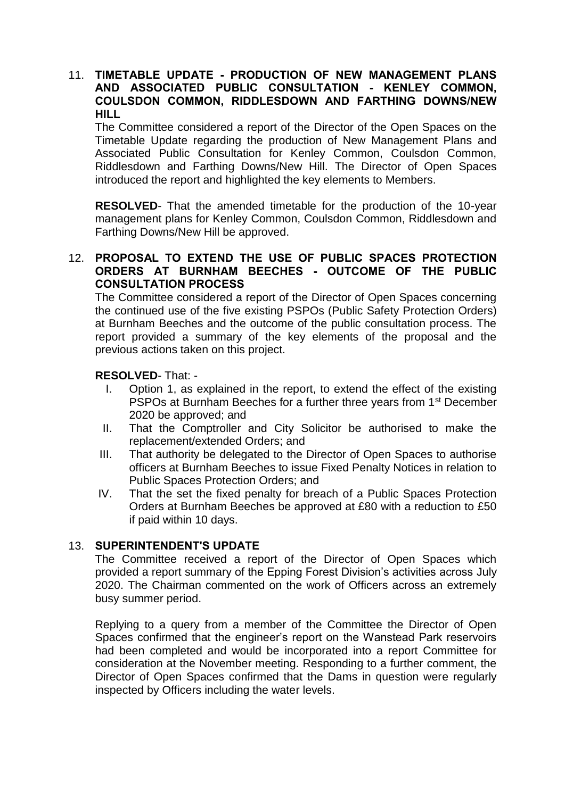# 11. **TIMETABLE UPDATE - PRODUCTION OF NEW MANAGEMENT PLANS AND ASSOCIATED PUBLIC CONSULTATION - KENLEY COMMON, COULSDON COMMON, RIDDLESDOWN AND FARTHING DOWNS/NEW HILL**

The Committee considered a report of the Director of the Open Spaces on the Timetable Update regarding the production of New Management Plans and Associated Public Consultation for Kenley Common, Coulsdon Common, Riddlesdown and Farthing Downs/New Hill. The Director of Open Spaces introduced the report and highlighted the key elements to Members.

**RESOLVED**- That the amended timetable for the production of the 10-year management plans for Kenley Common, Coulsdon Common, Riddlesdown and Farthing Downs/New Hill be approved.

# 12. **PROPOSAL TO EXTEND THE USE OF PUBLIC SPACES PROTECTION ORDERS AT BURNHAM BEECHES - OUTCOME OF THE PUBLIC CONSULTATION PROCESS**

The Committee considered a report of the Director of Open Spaces concerning the continued use of the five existing PSPOs (Public Safety Protection Orders) at Burnham Beeches and the outcome of the public consultation process. The report provided a summary of the key elements of the proposal and the previous actions taken on this project.

# **RESOLVED**- That: -

- I. Option 1, as explained in the report, to extend the effect of the existing PSPOs at Burnham Beeches for a further three years from 1<sup>st</sup> December 2020 be approved; and
- II. That the Comptroller and City Solicitor be authorised to make the replacement/extended Orders; and
- III. That authority be delegated to the Director of Open Spaces to authorise officers at Burnham Beeches to issue Fixed Penalty Notices in relation to Public Spaces Protection Orders; and
- IV. That the set the fixed penalty for breach of a Public Spaces Protection Orders at Burnham Beeches be approved at £80 with a reduction to £50 if paid within 10 days.

# 13. **SUPERINTENDENT'S UPDATE**

The Committee received a report of the Director of Open Spaces which provided a report summary of the Epping Forest Division's activities across July 2020. The Chairman commented on the work of Officers across an extremely busy summer period.

Replying to a query from a member of the Committee the Director of Open Spaces confirmed that the engineer's report on the Wanstead Park reservoirs had been completed and would be incorporated into a report Committee for consideration at the November meeting. Responding to a further comment, the Director of Open Spaces confirmed that the Dams in question were regularly inspected by Officers including the water levels.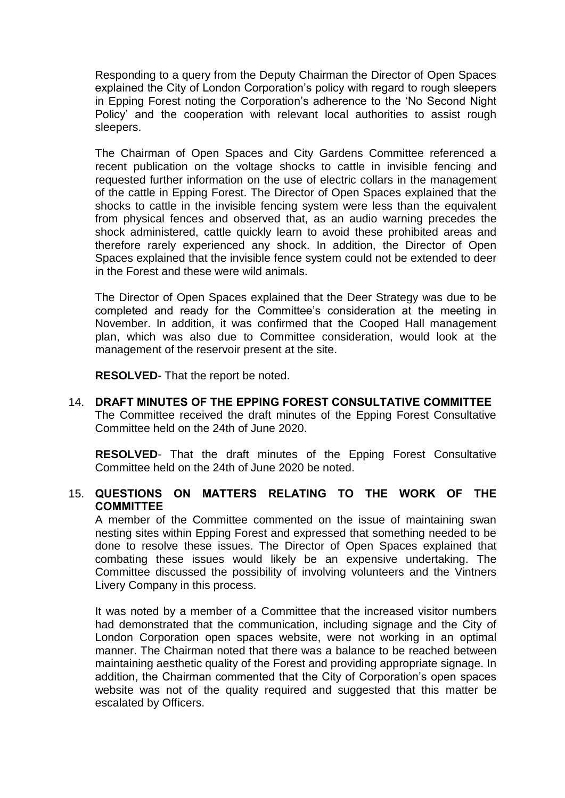Responding to a query from the Deputy Chairman the Director of Open Spaces explained the City of London Corporation's policy with regard to rough sleepers in Epping Forest noting the Corporation's adherence to the 'No Second Night Policy' and the cooperation with relevant local authorities to assist rough sleepers.

The Chairman of Open Spaces and City Gardens Committee referenced a recent publication on the voltage shocks to cattle in invisible fencing and requested further information on the use of electric collars in the management of the cattle in Epping Forest. The Director of Open Spaces explained that the shocks to cattle in the invisible fencing system were less than the equivalent from physical fences and observed that, as an audio warning precedes the shock administered, cattle quickly learn to avoid these prohibited areas and therefore rarely experienced any shock. In addition, the Director of Open Spaces explained that the invisible fence system could not be extended to deer in the Forest and these were wild animals.

The Director of Open Spaces explained that the Deer Strategy was due to be completed and ready for the Committee's consideration at the meeting in November. In addition, it was confirmed that the Cooped Hall management plan, which was also due to Committee consideration, would look at the management of the reservoir present at the site.

**RESOLVED**- That the report be noted.

14. **DRAFT MINUTES OF THE EPPING FOREST CONSULTATIVE COMMITTEE** The Committee received the draft minutes of the Epping Forest Consultative Committee held on the 24th of June 2020.

**RESOLVED**- That the draft minutes of the Epping Forest Consultative Committee held on the 24th of June 2020 be noted.

# 15. **QUESTIONS ON MATTERS RELATING TO THE WORK OF THE COMMITTEE**

A member of the Committee commented on the issue of maintaining swan nesting sites within Epping Forest and expressed that something needed to be done to resolve these issues. The Director of Open Spaces explained that combating these issues would likely be an expensive undertaking. The Committee discussed the possibility of involving volunteers and the Vintners Livery Company in this process.

It was noted by a member of a Committee that the increased visitor numbers had demonstrated that the communication, including signage and the City of London Corporation open spaces website, were not working in an optimal manner. The Chairman noted that there was a balance to be reached between maintaining aesthetic quality of the Forest and providing appropriate signage. In addition, the Chairman commented that the City of Corporation's open spaces website was not of the quality required and suggested that this matter be escalated by Officers.